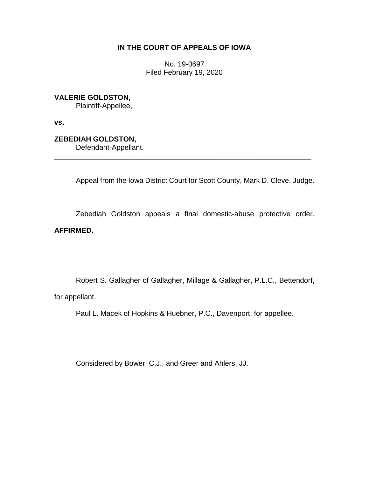# **IN THE COURT OF APPEALS OF IOWA**

No. 19-0697 Filed February 19, 2020

**VALERIE GOLDSTON,**

Plaintiff-Appellee,

**vs.**

**ZEBEDIAH GOLDSTON,**

Defendant-Appellant.

Appeal from the Iowa District Court for Scott County, Mark D. Cleve, Judge.

Zebediah Goldston appeals a final domestic-abuse protective order. **AFFIRMED.**

\_\_\_\_\_\_\_\_\_\_\_\_\_\_\_\_\_\_\_\_\_\_\_\_\_\_\_\_\_\_\_\_\_\_\_\_\_\_\_\_\_\_\_\_\_\_\_\_\_\_\_\_\_\_\_\_\_\_\_\_\_\_\_\_

Robert S. Gallagher of Gallagher, Millage & Gallagher, P.L.C., Bettendorf, for appellant.

Paul L. Macek of Hopkins & Huebner, P.C., Davenport, for appellee.

Considered by Bower, C.J., and Greer and Ahlers, JJ.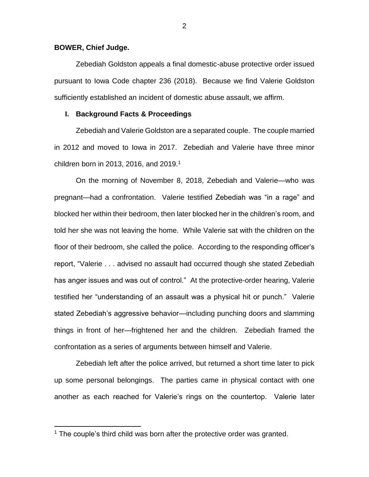## **BOWER, Chief Judge.**

 $\overline{a}$ 

Zebediah Goldston appeals a final domestic-abuse protective order issued pursuant to Iowa Code chapter 236 (2018). Because we find Valerie Goldston sufficiently established an incident of domestic abuse assault, we affirm.

## **I. Background Facts & Proceedings**

Zebediah and Valerie Goldston are a separated couple. The couple married in 2012 and moved to Iowa in 2017. Zebediah and Valerie have three minor children born in 2013, 2016, and  $2019<sup>1</sup>$ 

On the morning of November 8, 2018, Zebediah and Valerie—who was pregnant—had a confrontation. Valerie testified Zebediah was "in a rage" and blocked her within their bedroom, then later blocked her in the children's room, and told her she was not leaving the home. While Valerie sat with the children on the floor of their bedroom, she called the police. According to the responding officer's report, "Valerie . . . advised no assault had occurred though she stated Zebediah has anger issues and was out of control." At the protective-order hearing, Valerie testified her "understanding of an assault was a physical hit or punch." Valerie stated Zebediah's aggressive behavior—including punching doors and slamming things in front of her—frightened her and the children. Zebediah framed the confrontation as a series of arguments between himself and Valerie.

Zebediah left after the police arrived, but returned a short time later to pick up some personal belongings. The parties came in physical contact with one another as each reached for Valerie's rings on the countertop. Valerie later

<sup>&</sup>lt;sup>1</sup> The couple's third child was born after the protective order was granted.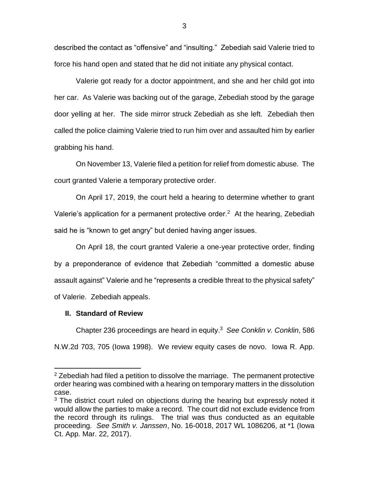described the contact as "offensive" and "insulting." Zebediah said Valerie tried to force his hand open and stated that he did not initiate any physical contact.

Valerie got ready for a doctor appointment, and she and her child got into her car. As Valerie was backing out of the garage, Zebediah stood by the garage door yelling at her. The side mirror struck Zebediah as she left. Zebediah then called the police claiming Valerie tried to run him over and assaulted him by earlier grabbing his hand.

On November 13, Valerie filed a petition for relief from domestic abuse. The court granted Valerie a temporary protective order.

On April 17, 2019, the court held a hearing to determine whether to grant Valerie's application for a permanent protective order.<sup>2</sup> At the hearing, Zebediah said he is "known to get angry" but denied having anger issues.

On April 18, the court granted Valerie a one-year protective order, finding by a preponderance of evidence that Zebediah "committed a domestic abuse assault against" Valerie and he "represents a credible threat to the physical safety" of Valerie. Zebediah appeals.

## **II. Standard of Review**

 $\overline{a}$ 

Chapter 236 proceedings are heard in equity.<sup>3</sup> *See Conklin v. Conklin*, 586 N.W.2d 703, 705 (Iowa 1998). We review equity cases de novo. Iowa R. App.

 $2$  Zebediah had filed a petition to dissolve the marriage. The permanent protective order hearing was combined with a hearing on temporary matters in the dissolution case.

<sup>&</sup>lt;sup>3</sup> The district court ruled on objections during the hearing but expressly noted it would allow the parties to make a record. The court did not exclude evidence from the record through its rulings. The trial was thus conducted as an equitable proceeding. *See Smith v. Janssen*, No. 16-0018, 2017 WL 1086206, at \*1 (Iowa Ct. App. Mar. 22, 2017).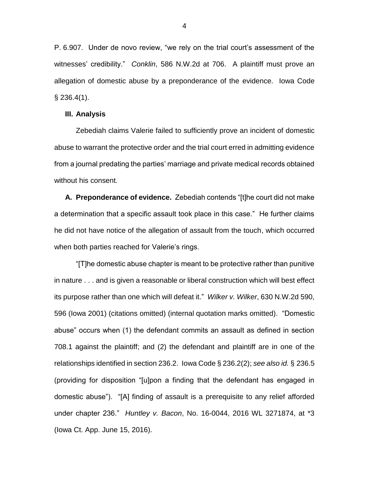P. 6.907. Under de novo review, "we rely on the trial court's assessment of the witnesses' credibility." *Conklin*, 586 N.W.2d at 706. A plaintiff must prove an allegation of domestic abuse by a preponderance of the evidence. Iowa Code  $§$  236.4(1).

#### **III. Analysis**

Zebediah claims Valerie failed to sufficiently prove an incident of domestic abuse to warrant the protective order and the trial court erred in admitting evidence from a journal predating the parties' marriage and private medical records obtained without his consent.

**A. Preponderance of evidence.** Zebediah contends "[t]he court did not make a determination that a specific assault took place in this case." He further claims he did not have notice of the allegation of assault from the touch, which occurred when both parties reached for Valerie's rings.

"[T]he domestic abuse chapter is meant to be protective rather than punitive in nature . . . and is given a reasonable or liberal construction which will best effect its purpose rather than one which will defeat it." *Wilker v. Wilker*, 630 N.W.2d 590, 596 (Iowa 2001) (citations omitted) (internal quotation marks omitted). "Domestic abuse" occurs when (1) the defendant commits an assault as defined in section 708.1 against the plaintiff; and (2) the defendant and plaintiff are in one of the relationships identified in section 236.2. Iowa Code § 236.2(2); *see also id.* § 236.5 (providing for disposition "[u]pon a finding that the defendant has engaged in domestic abuse"). "[A] finding of assault is a prerequisite to any relief afforded under chapter 236." *Huntley v. Bacon*, No. 16-0044, 2016 WL 3271874, at \*3 (Iowa Ct. App. June 15, 2016).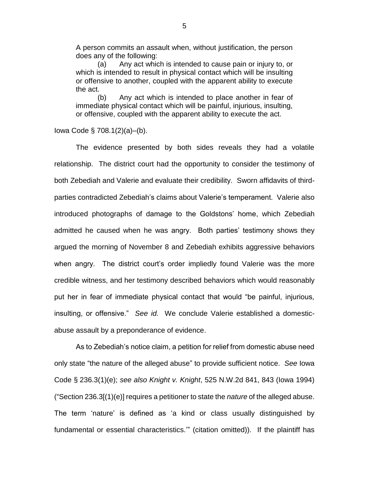A person commits an assault when, without justification, the person does any of the following:

(a) Any act which is intended to cause pain or injury to, or which is intended to result in physical contact which will be insulting or offensive to another, coupled with the apparent ability to execute the act.

(b) Any act which is intended to place another in fear of immediate physical contact which will be painful, injurious, insulting, or offensive, coupled with the apparent ability to execute the act.

Iowa Code § 708.1(2)(a)–(b).

The evidence presented by both sides reveals they had a volatile relationship. The district court had the opportunity to consider the testimony of both Zebediah and Valerie and evaluate their credibility. Sworn affidavits of thirdparties contradicted Zebediah's claims about Valerie's temperament. Valerie also introduced photographs of damage to the Goldstons' home, which Zebediah admitted he caused when he was angry. Both parties' testimony shows they argued the morning of November 8 and Zebediah exhibits aggressive behaviors when angry. The district court's order impliedly found Valerie was the more credible witness, and her testimony described behaviors which would reasonably put her in fear of immediate physical contact that would "be painful, injurious, insulting, or offensive." *See id.* We conclude Valerie established a domesticabuse assault by a preponderance of evidence.

As to Zebediah's notice claim, a petition for relief from domestic abuse need only state "the nature of the alleged abuse" to provide sufficient notice. *See* Iowa Code § 236.3(1)(e); *see also Knight v. Knight*, 525 N.W.2d 841, 843 (Iowa 1994) ("Section 236.3[(1)(e)] requires a petitioner to state the *nature* of the alleged abuse. The term 'nature' is defined as 'a kind or class usually distinguished by fundamental or essential characteristics.'" (citation omitted)). If the plaintiff has